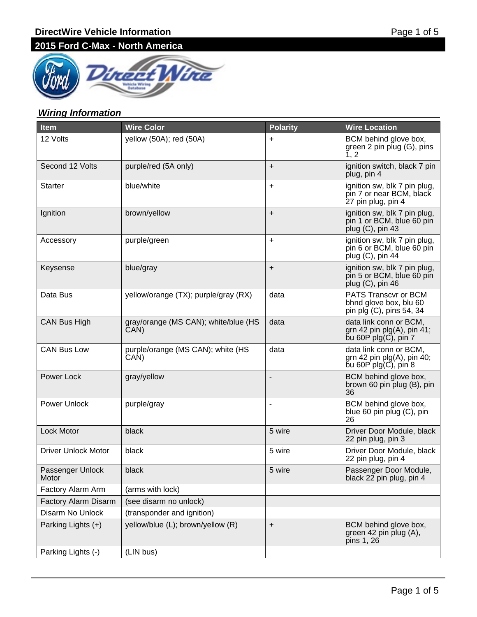

# **Wiring Information**

| <b>Item</b>                | <b>Wire Color</b>                            | <b>Polarity</b> | <b>Wire Location</b>                                                                                              |
|----------------------------|----------------------------------------------|-----------------|-------------------------------------------------------------------------------------------------------------------|
| 12 Volts                   | yellow (50A); red (50A)                      | $\ddot{}$       | BCM behind glove box,<br>green 2 pin plug (G), pins<br>1, 2                                                       |
| Second 12 Volts            | purple/red (5A only)                         | $+$             | ignition switch, black 7 pin<br>plug, pin 4                                                                       |
| <b>Starter</b>             | blue/white                                   | $\ddot{}$       | ignition sw, blk 7 pin plug,<br>pin 7 or near BCM, black<br>27 pin plug, pin 4                                    |
| Ignition                   | brown/yellow                                 | $\ddot{}$       | ignition sw, blk 7 pin plug,<br>pin 1 or BCM, blue 60 pin<br>plug (C), pin 43                                     |
| Accessory                  | purple/green                                 | $\ddot{}$       | ignition sw, blk 7 pin plug,<br>pin 6 or BCM, blue 60 pin<br>plug (C), pin 44                                     |
| Keysense                   | blue/gray                                    | $\ddot{}$       | ignition sw, blk 7 pin plug,<br>pin 5 or BCM, blue 60 pin<br>plug (C), pin 46                                     |
| Data Bus                   | yellow/orange (TX); purple/gray (RX)         | data            | <b>PATS Transcvr or BCM</b><br>bhnd glove box, blu 60<br>pin plg (C), pins 54, 34                                 |
| CAN Bus High               | gray/orange (MS CAN); white/blue (HS<br>ČAN) | data            | data link conn or BCM,<br>grn 42 pin $p\vert q(A)$ , pin 41;<br>bu 60P plg(C), pin 7                              |
| <b>CAN Bus Low</b>         | purple/orange (MS CAN); white (HS<br>CAN)    | data            | data link conn or BCM,<br>grn 42 pin $p\vert q(A)$ , pin 40;<br>$\overline{b}$ u 60P plg $(\overline{C})$ , pin 8 |
| Power Lock                 | gray/yellow                                  | -               | BCM behind glove box,<br>brown 60 pin plug (B), pin<br>36                                                         |
| <b>Power Unlock</b>        | purple/gray                                  | ۰               | BCM behind glove box,<br>blue 60 pin plug (C), pin<br>26                                                          |
| Lock Motor                 | black                                        | 5 wire          | Driver Door Module, black<br>22 pin plug, pin 3                                                                   |
| <b>Driver Unlock Motor</b> | black                                        | 5 wire          | Driver Door Module, black<br>22 pin plug, pin 4                                                                   |
| Passenger Unlock<br>Motor  | black                                        | 5 wire          | Passenger Door Module,<br>black 22 pin plug, pin 4                                                                |
| Factory Alarm Arm          | (arms with lock)                             |                 |                                                                                                                   |
| Factory Alarm Disarm       | (see disarm no unlock)                       |                 |                                                                                                                   |
| Disarm No Unlock           | (transponder and ignition)                   |                 |                                                                                                                   |
| Parking Lights (+)         | yellow/blue (L); brown/yellow (R)            | +               | BCM behind glove box,<br>green 42 pin plug (A),<br>pins 1, 26                                                     |
| Parking Lights (-)         | (LIN bus)                                    |                 |                                                                                                                   |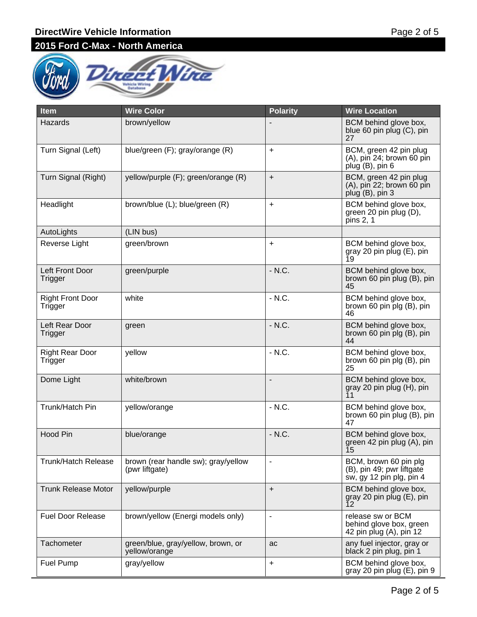

| <b>Item</b>                        | <b>Wire Color</b>                                     | <b>Polarity</b>          | <b>Wire Location</b>                                                           |
|------------------------------------|-------------------------------------------------------|--------------------------|--------------------------------------------------------------------------------|
| Hazards                            | brown/yellow                                          |                          | BCM behind glove box,<br>blue 60 pin plug (C), pin<br>27                       |
| Turn Signal (Left)                 | blue/green (F); gray/orange (R)                       | $\ddot{}$                | BCM, green 42 pin plug<br>(A), pin 24; brown 60 pin<br>plug (B), pin 6         |
| Turn Signal (Right)                | yellow/purple (F); green/orange (R)                   | $\ddot{}$                | BCM, green 42 pin plug<br>(A), pin 22; brown 60 pin<br>plug (B), pin 3         |
| Headlight                          | brown/blue (L); blue/green (R)                        | $\ddot{}$                | BCM behind glove box,<br>green 20 pin plug (D),<br>pins 2, 1                   |
| AutoLights                         | (LIN bus)                                             |                          |                                                                                |
| Reverse Light                      | green/brown                                           | $+$                      | BCM behind glove box,<br>gray 20 pin plug (E), pin<br>19                       |
| Left Front Door<br>Trigger         | green/purple                                          | - N.C.                   | BCM behind glove box,<br>brown 60 pin plug (B), pin<br>45                      |
| <b>Right Front Door</b><br>Trigger | white                                                 | $-N.C.$                  | BCM behind glove box,<br>brown 60 pin plg (B), pin<br>46                       |
| Left Rear Door<br>Trigger          | green                                                 | - N.C.                   | BCM behind glove box,<br>brown 60 pin plg (B), pin<br>44                       |
| <b>Right Rear Door</b><br>Trigger  | yellow                                                | $- N.C.$                 | BCM behind glove box,<br>brown 60 pin plg (B), pin<br>25                       |
| Dome Light                         | white/brown                                           | -                        | BCM behind glove box,<br>gray 20 pin plug (H), pin<br>11                       |
| Trunk/Hatch Pin                    | yellow/orange                                         | $- N.C.$                 | BCM behind glove box,<br>brown 60 pin plug (B), pin<br>47                      |
| <b>Hood Pin</b>                    | blue/orange                                           | - N.C.                   | BCM behind glove box,<br>green 42 pin plug (A), pin<br>$\overline{1}5$         |
| <b>Trunk/Hatch Release</b>         | brown (rear handle sw); gray/yellow<br>(pwr liftgate) |                          | BCM, brown 60 pin plg<br>(B), pin 49; pwr liftgate<br>sw, gy 12 pin plg, pin 4 |
| <b>Trunk Release Motor</b>         | yellow/purple                                         | $\ddot{}$                | BCM behind glove box,<br>gray 20 pin plug (E), pin<br>12                       |
| <b>Fuel Door Release</b>           | brown/yellow (Energi models only)                     | $\overline{\phantom{a}}$ | release sw or BCM<br>behind glove box, green<br>42 pin plug (A), pin 12        |
| <b>Tachometer</b>                  | green/blue, gray/yellow, brown, or<br>yellow/orange   | ac                       | any fuel injector, gray or<br>black 2 pin plug, pin 1                          |
| Fuel Pump                          | gray/yellow                                           | $\ddot{}$                | BCM behind glove box,<br>gray 20 pin plug (E), pin 9                           |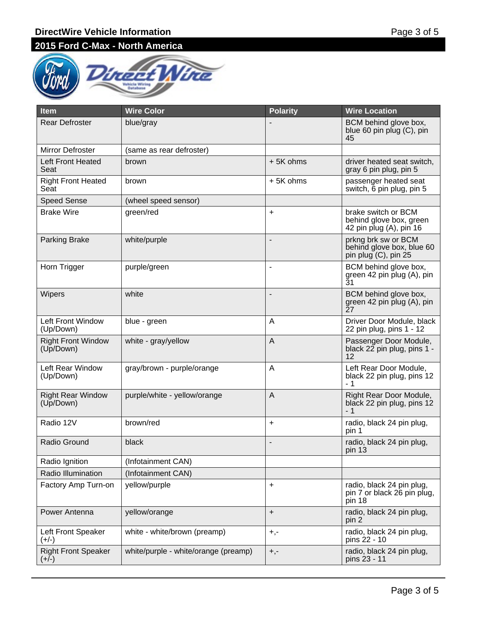

| <b>Item</b>                            | <b>Wire Color</b>                    | <b>Polarity</b>          | <b>Wire Location</b>                                                      |
|----------------------------------------|--------------------------------------|--------------------------|---------------------------------------------------------------------------|
| <b>Rear Defroster</b>                  | blue/gray                            |                          | BCM behind glove box,<br>blue 60 pin plug (C), pin<br>45                  |
| Mirror Defroster                       | (same as rear defroster)             |                          |                                                                           |
| <b>Left Front Heated</b><br>Seat       | brown                                | +5K ohms                 | driver heated seat switch,<br>gray 6 pin plug, pin 5                      |
| <b>Right Front Heated</b><br>Seat      | brown                                | +5K ohms                 | passenger heated seat<br>switch, 6 pin plug, pin 5                        |
| <b>Speed Sense</b>                     | (wheel speed sensor)                 |                          |                                                                           |
| <b>Brake Wire</b>                      | green/red                            | $\ddot{}$                | brake switch or BCM<br>behind glove box, green<br>42 pin plug (A), pin 16 |
| <b>Parking Brake</b>                   | white/purple                         | $\overline{\phantom{0}}$ | prkng brk sw or BCM<br>behind glove box, blue 60<br>pin plug (C), pin 25  |
| Horn Trigger                           | purple/green                         | $\overline{\phantom{m}}$ | BCM behind glove box,<br>green 42 pin plug (A), pin<br>$\bar{3}1$         |
| <b>Wipers</b>                          | white                                | $\overline{\phantom{a}}$ | BCM behind glove box,<br>green 42 pin plug (A), pin<br>27                 |
| <b>Left Front Window</b><br>(Up/Down)  | blue - green                         | A                        | Driver Door Module, black<br>22 pin plug, pins 1 - 12                     |
| <b>Right Front Window</b><br>(Up/Down) | white - gray/yellow                  | A                        | Passenger Door Module,<br>black 22 pin plug, pins 1 -<br>12               |
| Left Rear Window<br>(Up/Down)          | gray/brown - purple/orange           | A                        | Left Rear Door Module,<br>black 22 pin plug, pins 12<br>- 1               |
| <b>Right Rear Window</b><br>(Up/Down)  | purple/white - yellow/orange         | A                        | Right Rear Door Module,<br>black 22 pin plug, pins 12<br>- 1              |
| Radio 12V                              | brown/red                            | $\ddot{}$                | radio, black 24 pin plug,<br>pin 1                                        |
| Radio Ground                           | black                                | $\overline{a}$           | radio, black 24 pin plug,<br>pin 13                                       |
| Radio Ignition                         | (Infotainment CAN)                   |                          |                                                                           |
| Radio Illumination                     | (Infotainment CAN)                   |                          |                                                                           |
| Factory Amp Turn-on                    | yellow/purple                        | +                        | radio, black 24 pin plug,<br>pin 7 or black 26 pin plug,<br>pin 18        |
| Power Antenna                          | yellow/orange                        | $+$                      | radio, black 24 pin plug,<br>pin 2                                        |
| Left Front Speaker<br>$(+/-)$          | white - white/brown (preamp)         | $+, -$                   | radio, black 24 pin plug,<br>pins 22 - 10                                 |
| <b>Right Front Speaker</b><br>$(+/-)$  | white/purple - white/orange (preamp) | $+,-$                    | radio, black 24 pin plug,<br>pins 23 - 11                                 |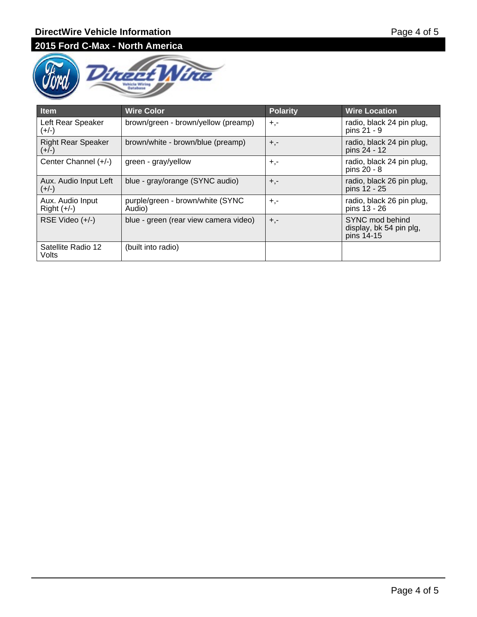

| <b>Item</b>                          | <b>Wire Color</b>                          | <b>Polarity</b> | <b>Wire Location</b>                                     |
|--------------------------------------|--------------------------------------------|-----------------|----------------------------------------------------------|
| Left Rear Speaker<br>(+/-)           | brown/green - brown/yellow (preamp)        | $+,-$           | radio, black 24 pin plug,<br>pins 21 - 9                 |
| <b>Right Rear Speaker</b><br>$(+/-)$ | brown/white - brown/blue (preamp)          | $+,-$           | radio, black 24 pin plug,<br>pins 24 - 12                |
| Center Channel (+/-)                 | green - gray/yellow                        | $+,-$           | radio, black 24 pin plug,<br>pins 20 - 8                 |
| Aux. Audio Input Left<br>$(+/-)$     | blue - gray/orange (SYNC audio)            | $+,-$           | radio, black 26 pin plug,<br>pins 12 - 25                |
| Aux. Audio Input<br>$Right (+/-)$    | purple/green - brown/white (SYNC<br>Audio) | $+,-$           | radio, black 26 pin plug,<br>pins 13 - 26                |
| RSE Video $(+/-)$                    | blue - green (rear view camera video)      | $+,-$           | SYNC mod behind<br>display, bk 54 pin plg,<br>pins 14-15 |
| Satellite Radio 12<br>Volts          | (built into radio)                         |                 |                                                          |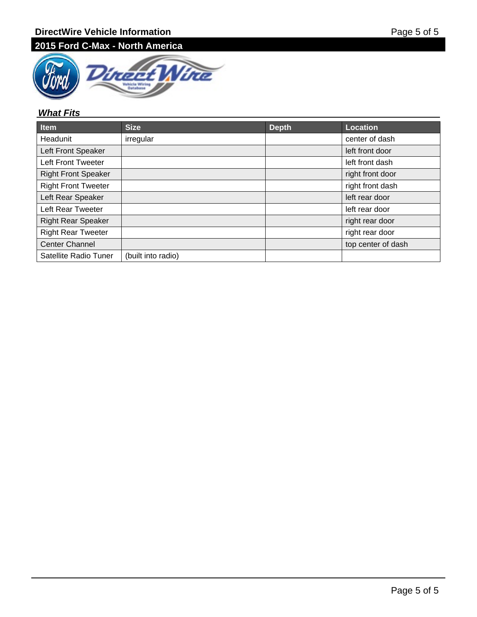

## **What Fits**

| Item                       | <b>Size</b>        | <b>Depth</b> | <b>Location</b>    |
|----------------------------|--------------------|--------------|--------------------|
| Headunit                   | irregular          |              | center of dash     |
| Left Front Speaker         |                    |              | left front door    |
| <b>Left Front Tweeter</b>  |                    |              | left front dash    |
| <b>Right Front Speaker</b> |                    |              | right front door   |
| <b>Right Front Tweeter</b> |                    |              | right front dash   |
| Left Rear Speaker          |                    |              | left rear door     |
| Left Rear Tweeter          |                    |              | left rear door     |
| <b>Right Rear Speaker</b>  |                    |              | right rear door    |
| <b>Right Rear Tweeter</b>  |                    |              | right rear door    |
| <b>Center Channel</b>      |                    |              | top center of dash |
| Satellite Radio Tuner      | (built into radio) |              |                    |